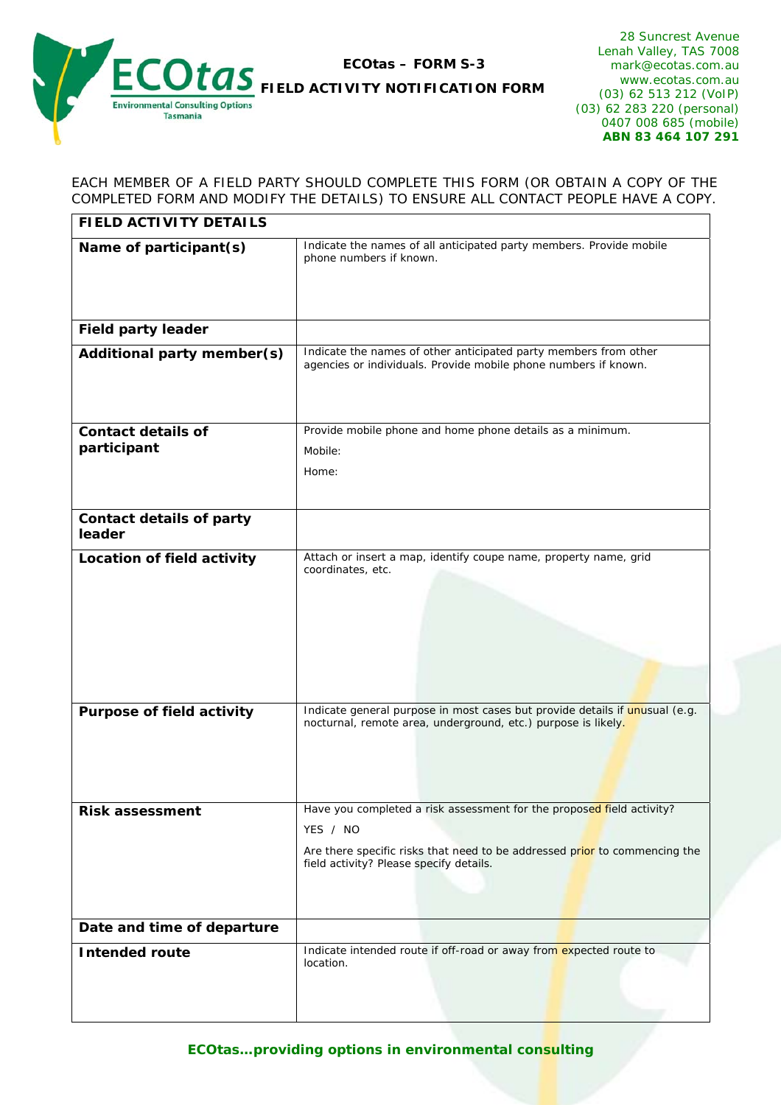

**ECO***tas* **– FORM S-3** 

**FIELD ACTIVITY NOTIFICATION FORM**

28 Suncrest Avenue Lenah Valley, TAS 7008 mark@ecotas.com.au www.ecotas.com.au (03) 62 513 212 (VoIP) (03) 62 283 220 (personal) 0407 008 685 (mobile) **ABN 83 464 107 291** 

## EACH MEMBER OF A FIELD PARTY SHOULD COMPLETE THIS FORM (OR OBTAIN A COPY OF THE COMPLETED FORM AND MODIFY THE DETAILS) TO ENSURE ALL CONTACT PEOPLE HAVE A COPY.

| <b>FIELD ACTIVITY DETAILS</b>             |                                                                                                                                                                                                            |
|-------------------------------------------|------------------------------------------------------------------------------------------------------------------------------------------------------------------------------------------------------------|
| Name of participant(s)                    | Indicate the names of all anticipated party members. Provide mobile<br>phone numbers if known.                                                                                                             |
| <b>Field party leader</b>                 |                                                                                                                                                                                                            |
| Additional party member(s)                | Indicate the names of other anticipated party members from other<br>agencies or individuals. Provide mobile phone numbers if known.                                                                        |
| <b>Contact details of</b><br>participant  | Provide mobile phone and home phone details as a minimum.<br>Mobile:<br>Home:                                                                                                                              |
| <b>Contact details of party</b><br>leader |                                                                                                                                                                                                            |
| Location of field activity                | Attach or insert a map, identify coupe name, property name, grid<br>coordinates, etc.                                                                                                                      |
| <b>Purpose of field activity</b>          | Indicate general purpose in most cases but provide details if unusual (e.g.<br>nocturnal, remote area, underground, etc.) purpose is likely.                                                               |
| <b>Risk assessment</b>                    | Have you completed a risk assessment for the proposed field activity?<br>YES / NO<br>Are there specific risks that need to be addressed prior to commencing the<br>field activity? Please specify details. |
| Date and time of departure                |                                                                                                                                                                                                            |
| <b>Intended route</b>                     | Indicate intended route if off-road or away from expected route to<br>location.                                                                                                                            |